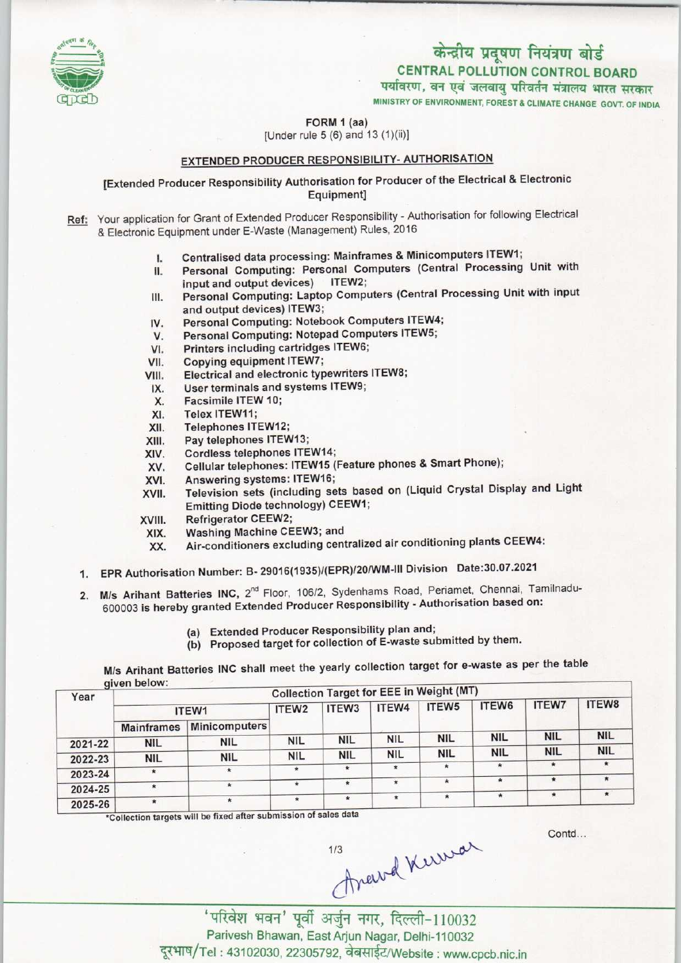

# केन्द्रीय प्रदूषण नियंत्रण बोर्ड CENTRAL POLLUTION CONTROL BOARD<br>पर्यावरण, वन एवं जलवायु परिवर्तन मंत्रालय भारत सरकार

MINISTRY OF ENVIRONMENT, FOREST & CLIMATE CHANGE GOVT. OF INDIA

FORM 1 (aa)

[Under rule  $5(6)$  and  $13(1)(ii)$ ]

#### EXTENDED PRODUCER RESPONSIBILITY- AUTHORISATION

[Extended Producer Responsibility Authorisation for Producer of the Electrical & Electronic Equipment]

Ref: Your application for Grant of Extended Producer Responsibility - Authorisation for following Electrical & Electronic Equipment under E-Waste (Management) Rules, 2016

- 
- I. Centralised data processing: Mainframes & Minicomputers ITEW1;<br>II. Personal Computing: Personal Computers (Central Processing Personal Computing: Personal Computers (Central Processing Unit with input and output devices) ITEW2; II. Personal Computing: Personal Computers (Central Processing Unit with<br>
input and output devices) ITEW2;<br>
III. Personal Computing: Laptop Computers (Central Processing Unit with input<br>
III. Personal Computing: Laptop Com
- and output devices) ITEW3; III. Personal Computing: Laptop Computers (Central I<br>and output devices) ITEW3;<br>IV. Personal Computing: Notebook Computers ITEW4; and output devices) ITEW3;<br>V. Personal Computing: Notebook Computers ITEW-<br>V. Personal Computing: Notepad Computers ITEW5;
- IV. Personal Computing: Notebook Com<br>V. Personal Computing: Notepad Comp<br>VI. Printers including cartridges ITEW6;<br>VI. Conving equipment ITEW7:
- V. Personal Computing: Notepad Computers ITEW5;<br>VII. Printers including cartridges ITEW6;<br>VIII. Copying equipment ITEW7;<br>VIII. Electrical and electronic typewriters ITEW8;
	-
- 
- VII. Copying equipment rictions,<br>VIII. Electrical and electronic typewriters ITEW8; VII. Copying equipment ITEW7;<br>III. Electrical and electronic typewriters<br>IX. User terminals and systems ITEW9;<br>X. Eacsimile ITEW 10:
- IX. User terminals and systems ITEW9;<br>X. Facsimile ITEW 10;<br>XI. Telex ITEW11;<br>XII. Telephones ITEW12;
- II. Electrical and electrical and electrical and electrical and the ITEW 10;<br>X. Facsimile ITEW 10;<br>X. Telex ITEW 11;
- 
- XII. Telephones ITEW12;<br>XIII. Pay telephones ITEW
- XIII. Pay telephones ITEW13;<br>XIV. Cordless telephones ITE
- XIV. Cordless telephones ITEW14;<br>XV. Cellular telephones: ITEW15 (I XIV. Cordless telephones ITEW14<br>XV. Cellular telephones: ITEW15<br>XVI. Answering systems: ITEW16;<br>XVII. Television sets (including set
- XIII. Pay telephones ITEW13;<br>XIII. Pay telephones ITEW14;<br>XV. Cellular telephones: ITEW15 (Feature phones & Smart Phone);
- 
- XV. Cellular telephones: ITEW15 (Feature phones & Smart Phone);<br>XVI. Answering systems: ITEW16;<br>XVII. Television sets (including sets based on (Liquid Crystal Display and Light Emitting Diode technology) CEEW1; XVII. Television sets (incl<br>Emitting Diode techn<br>XVIII. Refrigerator CEEW2;<br>XIX. Washing Machine CE
- 
- XVIII. Refrigerator CEEW2;<br>XIX. Washing Machine CEEW3; and<br>XX. Air-conditioners excluding cent
- Air-conditioners excluding centralized air conditioning plants CEEW4:
- 1.EPR Authorisation Number: B- 29016(1935)/(EPR)/20/WM-lll Division Date:30.07.2021
- 2. M/s Arihant Batteries INC, 2<sup>nd</sup> Floor, 106/2, Sydenhams Road, Periamet, Chennai, Tamilnadu-600003 is hereby granted Extended Producer Responsibility - Authorisation based on:
	- (a) Extended Producer Responsibility plan and;
	- (b) Proposed target for collection of E-waste submitted by them.

M/s Arihant Batteries INC shall meet the yearly collection target for e-waste as per the table given below:

| Year    | diveli neight.    |                      |            |                   |            | <b>Collection Target for EEE in Weight (MT)</b> |            |              |            |
|---------|-------------------|----------------------|------------|-------------------|------------|-------------------------------------------------|------------|--------------|------------|
|         | ITEW1             |                      | ITEW2      | ITEW <sub>3</sub> | ITEW4      | ITEW <sub>5</sub>                               | ITEW6      | <b>ITEW7</b> | ITEW8      |
|         | <b>Mainframes</b> | <b>Minicomputers</b> |            |                   |            |                                                 |            |              |            |
| 2021-22 | <b>NIL</b>        | <b>NIL</b>           | <b>NIL</b> | <b>NIL</b>        | <b>NIL</b> | <b>NIL</b>                                      | <b>NIL</b> | <b>NIL</b>   | <b>NIL</b> |
| 2022-23 | <b>NIL</b>        | NIL                  | <b>NIL</b> | <b>NIL</b>        | <b>NIL</b> | <b>NIL</b>                                      | <b>NIL</b> | <b>NIL</b>   | <b>NIL</b> |
|         | $\star$           | $\star$              |            | $\star$           | $\star$    | $\star$                                         | $\star$    | $\star$      | $\star$    |
| 2023-24 |                   |                      |            |                   |            | ×                                               | ۰          | $\star$      |            |
| 2024-25 | $\ast$            | $\star$              |            | $\star$           |            |                                                 |            | $\star$      | $\star$    |
| 2025-26 | $\star$           | $\star$              |            | $\star$           |            | $\star$                                         | $\star$    |              |            |

'Collection taraets will be fixed aftersubmission or soles dats •

Contd...

,<br>'पूर्वी अर्जुन नगर, दिल्ली-110032 Parivesh Bhawan, East Arjun Nagar, Delhi-110032 दूरभाष/Tel: 43102030, 22305792, वेबसाईट/Website : www.cpcb.nic.in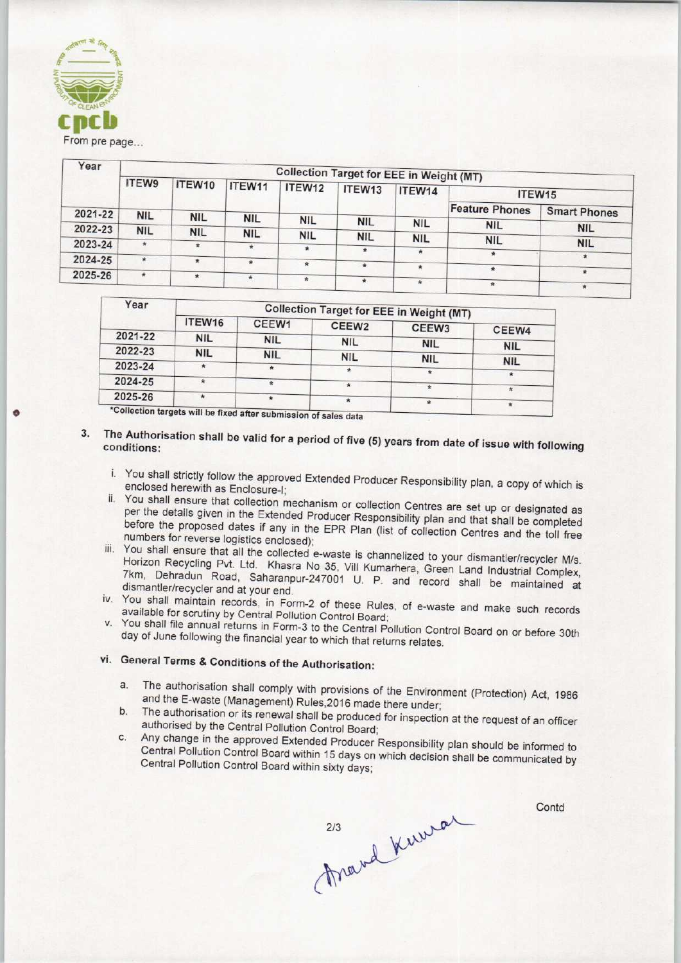

|         | From pre page |            |            |                                                 |            |            |                       |                     |
|---------|---------------|------------|------------|-------------------------------------------------|------------|------------|-----------------------|---------------------|
| Year    |               |            |            | <b>Collection Target for EEE in Weight (MT)</b> |            |            |                       |                     |
|         | <b>ITEW9</b>  | ITEW10     | ITEW11     | ITEW12                                          | ITEW13     | ITEW14     | ITEW15                |                     |
| 2021-22 | <b>NIL</b>    | <b>NIL</b> |            |                                                 |            |            | <b>Feature Phones</b> | <b>Smart Phones</b> |
| 2022-23 | <b>NIL</b>    |            | <b>NIL</b> | <b>NIL</b>                                      | <b>NIL</b> | <b>NIL</b> | <b>NIL</b>            | <b>NIL</b>          |
|         |               | <b>NIL</b> | <b>NIL</b> | <b>NIL</b>                                      | <b>NIL</b> |            |                       |                     |
| 2023-24 | $\pmb{\pi}$   | $\star$    |            |                                                 |            | <b>NIL</b> | <b>NIL</b>            | <b>NIL</b>          |

| Year    | <b>Collection Target for EEE in Weight (MT)</b> |            |                   |            |            |  |  |
|---------|-------------------------------------------------|------------|-------------------|------------|------------|--|--|
|         | ITEW16                                          | CEEW1      | CEEW <sub>2</sub> | CEEW3      | CEEW4      |  |  |
| 2021-22 | <b>NIL</b>                                      | <b>NIL</b> | <b>NIL</b>        | <b>NIL</b> |            |  |  |
| 2022-23 | <b>NIL</b>                                      | <b>NIL</b> | <b>NIL</b>        |            | <b>NIL</b> |  |  |
| 2023-24 | $\star$                                         | ÷          | $\ast$            | <b>NIL</b> | <b>NIL</b> |  |  |
| 2024-25 | $\frac{1}{2}$                                   | ×.         | $\star$           | Ŕ.         |            |  |  |
| 2025-26 | $\star$                                         |            | $\star$           |            |            |  |  |

Collection targets will be fixed after submission of sales data

### 3. The Authorisation shall be valid for a period of five  $(5)$  years from data of increasing  $\mu$ conditions:

- i. You shall strictly follow the approved Extended Producer Responsibility plan, a copy of which is enclosed herewith as Enclosure-I;
- ii. You shall ensure that collection mechanism or collection Centres are set up or designated as per the details given in the Extended Producer Responsibility plan and that shall be completed before the proposed dates if any in the EPR Plan (list of collection Centres and the toll free numbers for reverse logistics enclosed);
- iii. You shall ensure that all the collected e-waste is channelized to your dismantler/recycler M/s. Horizon Recycling Pvt. Ltd, Khasra No 35, Vill Kumarhera, Green Land Industrial Complex, 7km, Dehradun Road, Saharanpur-247001 U. P. and record shall be maintained at dismantler/recycler and at your end.
- iv. You shall maintain records, in Form-2 of these Rules, of e-waste and make such records available for scrutiny by Central Pollution Control Board;
- v. You shall file annual returns in Form-3 to the Central Pollution Control Board on or before 30th day of June following the financial year to which that returns relates.

## vi. General Terms& Conditions of the Authorisation:

- a. The authorisation shall comply with provisions of the Environment (Protection) Act, 1986 and the E-waste (Management) Rules,2016 made there under;
- b. The authorisation or its renewal shall be produced for inspection at the request of an officer authorised by the Central Pollution Control Board;
- c.Any change in the approved Extended Producer Responsibility plan should be informed to Central Pollution Control Board within 15 days on which decision shall be communicated by Central Pollution Control Board within sixty days;

213 Kerwar

**Contd**